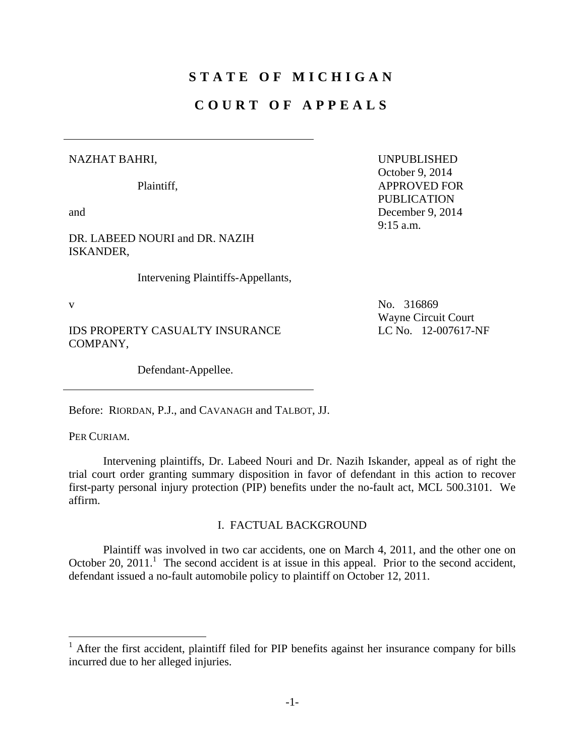# **STATE OF MICHIGAN**

## **COURT OF APPEALS**

#### NAZHAT BAHRI,

Plaintiff,

and

DR. LABEED NOURI and DR. NAZIH ISKANDER,

Intervening Plaintiffs-Appellants,

 $\overline{a}$ 

IDS PROPERTY CASUALTY INSURANCE COMPANY,

Defendant-Appellee.

Before: RIORDAN, P.J., and CAVANAGH and TALBOT, JJ.

PER CURIAM.

 Intervening plaintiffs, Dr. Labeed Nouri and Dr. Nazih Iskander, appeal as of right the trial court order granting summary disposition in favor of defendant in this action to recover first-party personal injury protection (PIP) benefits under the no-fault act, MCL 500.3101. We affirm.

#### I. FACTUAL BACKGROUND

 Plaintiff was involved in two car accidents, one on March 4, 2011, and the other one on October 20,  $2011$ .<sup>1</sup> The second accident is at issue in this appeal. Prior to the second accident, defendant issued a no-fault automobile policy to plaintiff on October 12, 2011.

UNPUBLISHED October 9, 2014 APPROVED FOR PUBLICATION December 9, 2014 9:15 a.m.

v No. 316869 Wayne Circuit Court LC No. 12-007617-NF

<sup>&</sup>lt;sup>1</sup> After the first accident, plaintiff filed for PIP benefits against her insurance company for bills incurred due to her alleged injuries.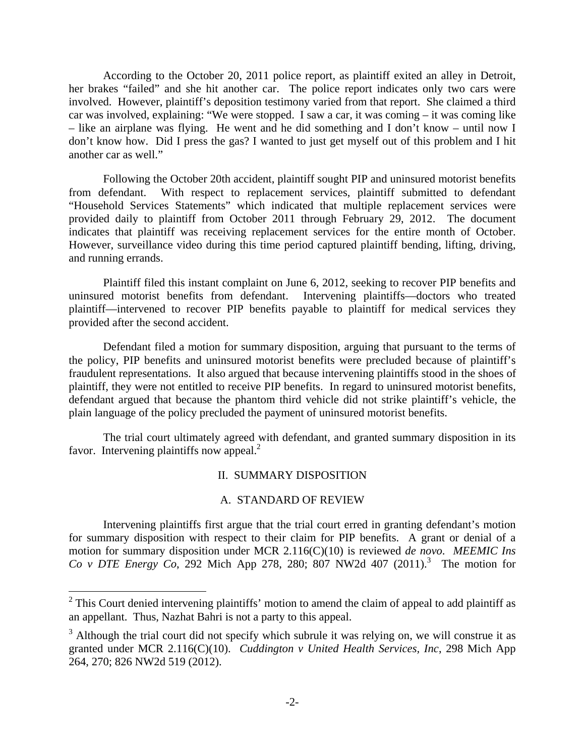According to the October 20, 2011 police report, as plaintiff exited an alley in Detroit, her brakes "failed" and she hit another car. The police report indicates only two cars were involved. However, plaintiff's deposition testimony varied from that report. She claimed a third car was involved, explaining: "We were stopped. I saw a car, it was coming – it was coming like – like an airplane was flying. He went and he did something and I don't know – until now I don't know how. Did I press the gas? I wanted to just get myself out of this problem and I hit another car as well."

Following the October 20th accident, plaintiff sought PIP and uninsured motorist benefits from defendant. With respect to replacement services, plaintiff submitted to defendant "Household Services Statements" which indicated that multiple replacement services were provided daily to plaintiff from October 2011 through February 29, 2012. The document indicates that plaintiff was receiving replacement services for the entire month of October. However, surveillance video during this time period captured plaintiff bending, lifting, driving, and running errands.

Plaintiff filed this instant complaint on June 6, 2012, seeking to recover PIP benefits and uninsured motorist benefits from defendant. Intervening plaintiffs—doctors who treated plaintiff—intervened to recover PIP benefits payable to plaintiff for medical services they provided after the second accident.

Defendant filed a motion for summary disposition, arguing that pursuant to the terms of the policy, PIP benefits and uninsured motorist benefits were precluded because of plaintiff's fraudulent representations. It also argued that because intervening plaintiffs stood in the shoes of plaintiff, they were not entitled to receive PIP benefits. In regard to uninsured motorist benefits, defendant argued that because the phantom third vehicle did not strike plaintiff's vehicle, the plain language of the policy precluded the payment of uninsured motorist benefits.

The trial court ultimately agreed with defendant, and granted summary disposition in its favor. Intervening plaintiffs now appeal.<sup>2</sup>

### II. SUMMARY DISPOSITION

#### A. STANDARD OF REVIEW

 Intervening plaintiffs first argue that the trial court erred in granting defendant's motion for summary disposition with respect to their claim for PIP benefits. A grant or denial of a motion for summary disposition under MCR 2.116(C)(10) is reviewed *de novo*. *MEEMIC Ins Co v DTE Energy Co*, 292 Mich App 278, 280; 807 NW2d 407 (2011).<sup>3</sup> The motion for

<sup>&</sup>lt;sup>2</sup> This Court denied intervening plaintiffs' motion to amend the claim of appeal to add plaintiff as an appellant. Thus, Nazhat Bahri is not a party to this appeal.

 $3$  Although the trial court did not specify which subrule it was relying on, we will construe it as granted under MCR 2.116(C)(10). *Cuddington v United Health Services, Inc*, 298 Mich App 264, 270; 826 NW2d 519 (2012).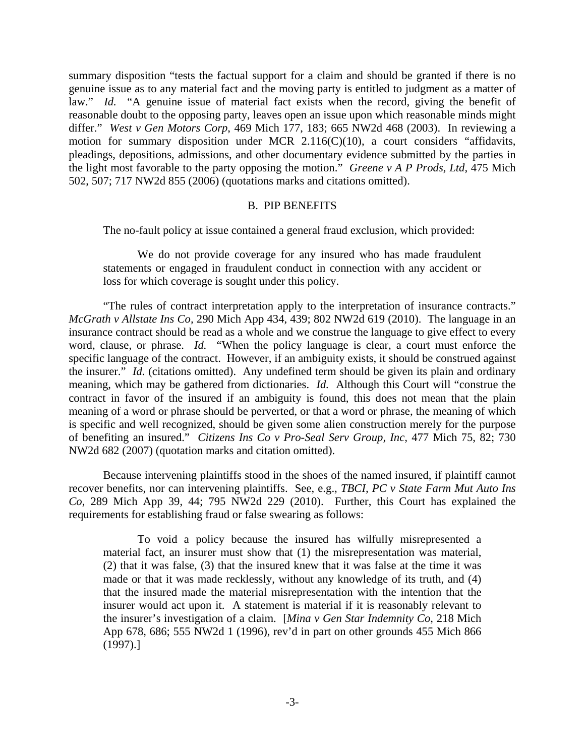summary disposition "tests the factual support for a claim and should be granted if there is no genuine issue as to any material fact and the moving party is entitled to judgment as a matter of law." *Id.* "A genuine issue of material fact exists when the record, giving the benefit of reasonable doubt to the opposing party, leaves open an issue upon which reasonable minds might differ." *West v Gen Motors Corp*, 469 Mich 177, 183; 665 NW2d 468 (2003). In reviewing a motion for summary disposition under MCR 2.116(C)(10), a court considers "affidavits, pleadings, depositions, admissions, and other documentary evidence submitted by the parties in the light most favorable to the party opposing the motion." *Greene v A P Prods, Ltd*, 475 Mich 502, 507; 717 NW2d 855 (2006) (quotations marks and citations omitted).

#### B. PIP BENEFITS

The no-fault policy at issue contained a general fraud exclusion, which provided:

 We do not provide coverage for any insured who has made fraudulent statements or engaged in fraudulent conduct in connection with any accident or loss for which coverage is sought under this policy.

"The rules of contract interpretation apply to the interpretation of insurance contracts." *McGrath v Allstate Ins Co,* 290 Mich App 434, 439; 802 NW2d 619 (2010). The language in an insurance contract should be read as a whole and we construe the language to give effect to every word, clause, or phrase. *Id.* "When the policy language is clear, a court must enforce the specific language of the contract. However, if an ambiguity exists, it should be construed against the insurer." *Id.* (citations omitted). Any undefined term should be given its plain and ordinary meaning, which may be gathered from dictionaries. *Id.* Although this Court will "construe the contract in favor of the insured if an ambiguity is found, this does not mean that the plain meaning of a word or phrase should be perverted, or that a word or phrase, the meaning of which is specific and well recognized, should be given some alien construction merely for the purpose of benefiting an insured." *Citizens Ins Co v Pro-Seal Serv Group, Inc,* 477 Mich 75, 82; 730 NW2d 682 (2007) (quotation marks and citation omitted).

Because intervening plaintiffs stood in the shoes of the named insured, if plaintiff cannot recover benefits, nor can intervening plaintiffs. See, e.g., *TBCI, PC v State Farm Mut Auto Ins Co*, 289 Mich App 39, 44; 795 NW2d 229 (2010). Further, this Court has explained the requirements for establishing fraud or false swearing as follows:

 To void a policy because the insured has wilfully misrepresented a material fact, an insurer must show that (1) the misrepresentation was material, (2) that it was false, (3) that the insured knew that it was false at the time it was made or that it was made recklessly, without any knowledge of its truth, and (4) that the insured made the material misrepresentation with the intention that the insurer would act upon it. A statement is material if it is reasonably relevant to the insurer's investigation of a claim. [*Mina v Gen Star Indemnity Co*, 218 Mich App 678, 686; 555 NW2d 1 (1996), rev'd in part on other grounds 455 Mich 866 (1997).]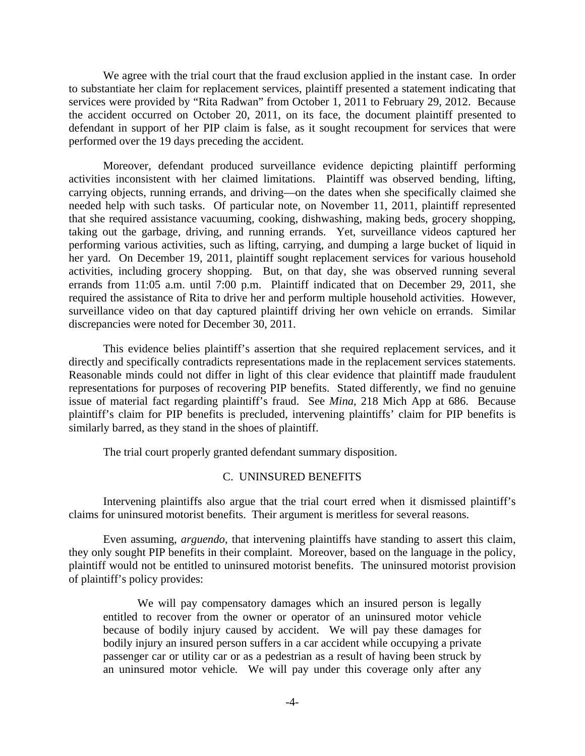We agree with the trial court that the fraud exclusion applied in the instant case. In order to substantiate her claim for replacement services, plaintiff presented a statement indicating that services were provided by "Rita Radwan" from October 1, 2011 to February 29, 2012. Because the accident occurred on October 20, 2011, on its face, the document plaintiff presented to defendant in support of her PIP claim is false, as it sought recoupment for services that were performed over the 19 days preceding the accident.

 Moreover, defendant produced surveillance evidence depicting plaintiff performing activities inconsistent with her claimed limitations. Plaintiff was observed bending, lifting, carrying objects, running errands, and driving—on the dates when she specifically claimed she needed help with such tasks. Of particular note, on November 11, 2011, plaintiff represented that she required assistance vacuuming, cooking, dishwashing, making beds, grocery shopping, taking out the garbage, driving, and running errands. Yet, surveillance videos captured her performing various activities, such as lifting, carrying, and dumping a large bucket of liquid in her yard. On December 19, 2011, plaintiff sought replacement services for various household activities, including grocery shopping. But, on that day, she was observed running several errands from 11:05 a.m. until 7:00 p.m. Plaintiff indicated that on December 29, 2011, she required the assistance of Rita to drive her and perform multiple household activities. However, surveillance video on that day captured plaintiff driving her own vehicle on errands. Similar discrepancies were noted for December 30, 2011.

This evidence belies plaintiff's assertion that she required replacement services, and it directly and specifically contradicts representations made in the replacement services statements. Reasonable minds could not differ in light of this clear evidence that plaintiff made fraudulent representations for purposes of recovering PIP benefits. Stated differently, we find no genuine issue of material fact regarding plaintiff's fraud. See *Mina*, 218 Mich App at 686. Because plaintiff's claim for PIP benefits is precluded, intervening plaintiffs' claim for PIP benefits is similarly barred, as they stand in the shoes of plaintiff.

The trial court properly granted defendant summary disposition.

#### C. UNINSURED BENEFITS

 Intervening plaintiffs also argue that the trial court erred when it dismissed plaintiff's claims for uninsured motorist benefits. Their argument is meritless for several reasons.

Even assuming, *arguendo*, that intervening plaintiffs have standing to assert this claim, they only sought PIP benefits in their complaint. Moreover, based on the language in the policy, plaintiff would not be entitled to uninsured motorist benefits. The uninsured motorist provision of plaintiff's policy provides:

 We will pay compensatory damages which an insured person is legally entitled to recover from the owner or operator of an uninsured motor vehicle because of bodily injury caused by accident. We will pay these damages for bodily injury an insured person suffers in a car accident while occupying a private passenger car or utility car or as a pedestrian as a result of having been struck by an uninsured motor vehicle*.* We will pay under this coverage only after any